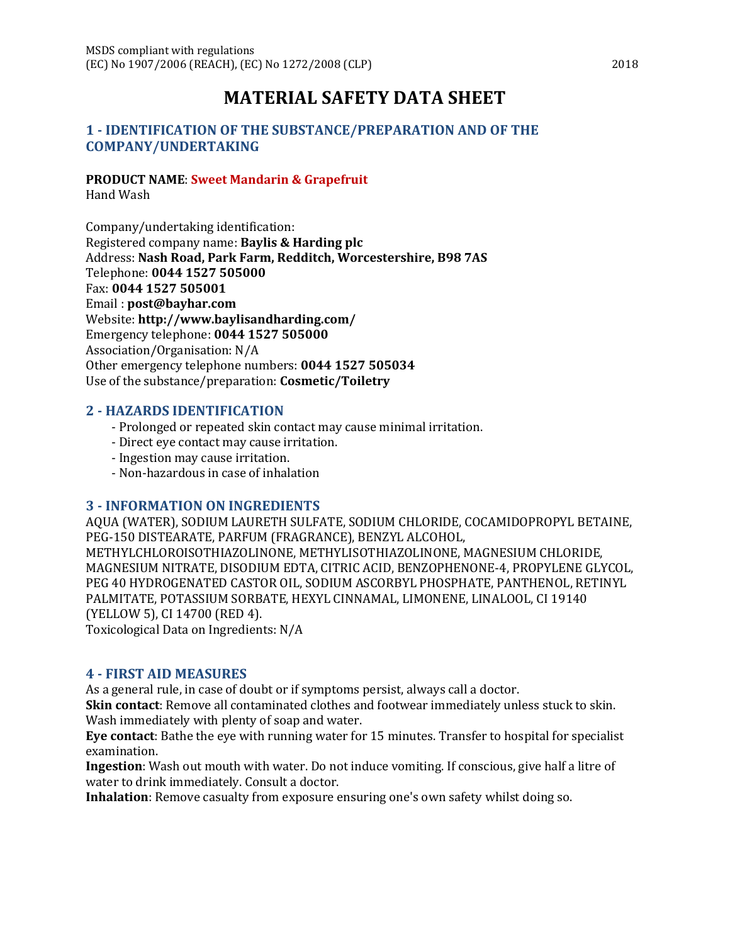# **MATERIAL SAFETY DATA SHEET**

### **1 - IDENTIFICATION OF THE SUBSTANCE/PREPARATION AND OF THE COMPANY/UNDERTAKING**

### **PRODUCT NAME**: **Sweet Mandarin & Grapefruit**

Hand Wash

Company/undertaking identification: Registered company name: **Baylis & Harding plc** Address: **Nash Road, Park Farm, Redditch, Worcestershire, B98 7AS** Telephone: **0044 1527 505000** Fax: **0044 1527 505001** Email : **post@bayhar.com** Website: **http://www.baylisandharding.com/** Emergency telephone: **0044 1527 505000** Association/Organisation: N/A Other emergency telephone numbers: **0044 1527 505034** Use of the substance/preparation: **Cosmetic/Toiletry**

### **2 - HAZARDS IDENTIFICATION**

- Prolonged or repeated skin contact may cause minimal irritation.
- Direct eye contact may cause irritation.
- Ingestion may cause irritation.
- Non-hazardous in case of inhalation

### **3 - INFORMATION ON INGREDIENTS**

AQUA (WATER), SODIUM LAURETH SULFATE, SODIUM CHLORIDE, COCAMIDOPROPYL BETAINE, PEG-150 DISTEARATE, PARFUM (FRAGRANCE), BENZYL ALCOHOL, METHYLCHLOROISOTHIAZOLINONE, METHYLISOTHIAZOLINONE, MAGNESIUM CHLORIDE, MAGNESIUM NITRATE, DISODIUM EDTA, CITRIC ACID, BENZOPHENONE-4, PROPYLENE GLYCOL, PEG 40 HYDROGENATED CASTOR OIL, SODIUM ASCORBYL PHOSPHATE, PANTHENOL, RETINYL PALMITATE, POTASSIUM SORBATE, HEXYL CINNAMAL, LIMONENE, LINALOOL, CI 19140 (YELLOW 5), CI 14700 (RED 4).

Toxicological Data on Ingredients: N/A

### **4 - FIRST AID MEASURES**

As a general rule, in case of doubt or if symptoms persist, always call a doctor.

**Skin contact**: Remove all contaminated clothes and footwear immediately unless stuck to skin. Wash immediately with plenty of soap and water.

**Eye contact**: Bathe the eye with running water for 15 minutes. Transfer to hospital for specialist examination.

**Ingestion**: Wash out mouth with water. Do not induce vomiting. If conscious, give half a litre of water to drink immediately. Consult a doctor.

**Inhalation**: Remove casualty from exposure ensuring one's own safety whilst doing so.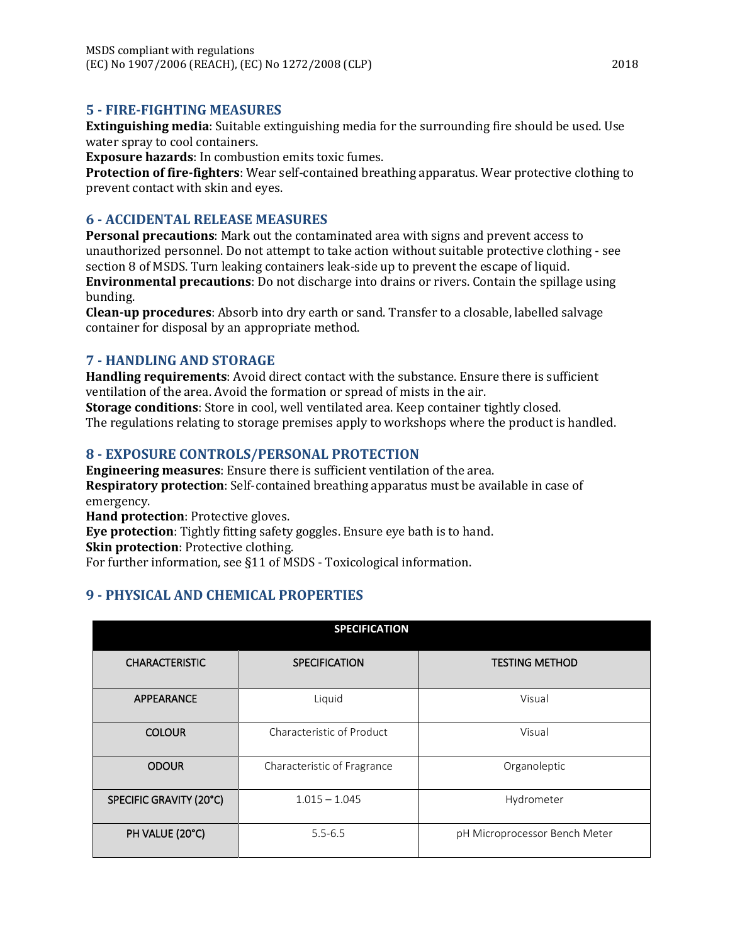### **5 - FIRE-FIGHTING MEASURES**

**Extinguishing media**: Suitable extinguishing media for the surrounding fire should be used. Use water spray to cool containers.

**Exposure hazards**: In combustion emits toxic fumes.

**Protection of fire-fighters**: Wear self-contained breathing apparatus. Wear protective clothing to prevent contact with skin and eyes.

### **6 - ACCIDENTAL RELEASE MEASURES**

**Personal precautions**: Mark out the contaminated area with signs and prevent access to unauthorized personnel. Do not attempt to take action without suitable protective clothing - see section 8 of MSDS. Turn leaking containers leak-side up to prevent the escape of liquid. **Environmental precautions**: Do not discharge into drains or rivers. Contain the spillage using

bunding.

**Clean-up procedures**: Absorb into dry earth or sand. Transfer to a closable, labelled salvage container for disposal by an appropriate method.

### **7 - HANDLING AND STORAGE**

**Handling requirements**: Avoid direct contact with the substance. Ensure there is sufficient ventilation of the area. Avoid the formation or spread of mists in the air.

**Storage conditions**: Store in cool, well ventilated area. Keep container tightly closed. The regulations relating to storage premises apply to workshops where the product is handled.

### **8 - EXPOSURE CONTROLS/PERSONAL PROTECTION**

**Engineering measures**: Ensure there is sufficient ventilation of the area. **Respiratory protection**: Self-contained breathing apparatus must be available in case of emergency.

**Hand protection**: Protective gloves.

**Eye protection**: Tightly fitting safety goggles. Ensure eye bath is to hand.

**Skin protection**: Protective clothing.

For further information, see §11 of MSDS - Toxicological information.

# **9 - PHYSICAL AND CHEMICAL PROPERTIES**

| <b>SPECIFICATION</b>    |                             |                               |
|-------------------------|-----------------------------|-------------------------------|
| <b>CHARACTERISTIC</b>   | <b>SPECIFICATION</b>        | <b>TESTING METHOD</b>         |
| APPEARANCE              | Liquid                      | Visual                        |
| <b>COLOUR</b>           | Characteristic of Product   | Visual                        |
| <b>ODOUR</b>            | Characteristic of Fragrance | Organoleptic                  |
| SPECIFIC GRAVITY (20°C) | $1.015 - 1.045$             | Hydrometer                    |
| PH VALUE (20°C)         | $5.5 - 6.5$                 | pH Microprocessor Bench Meter |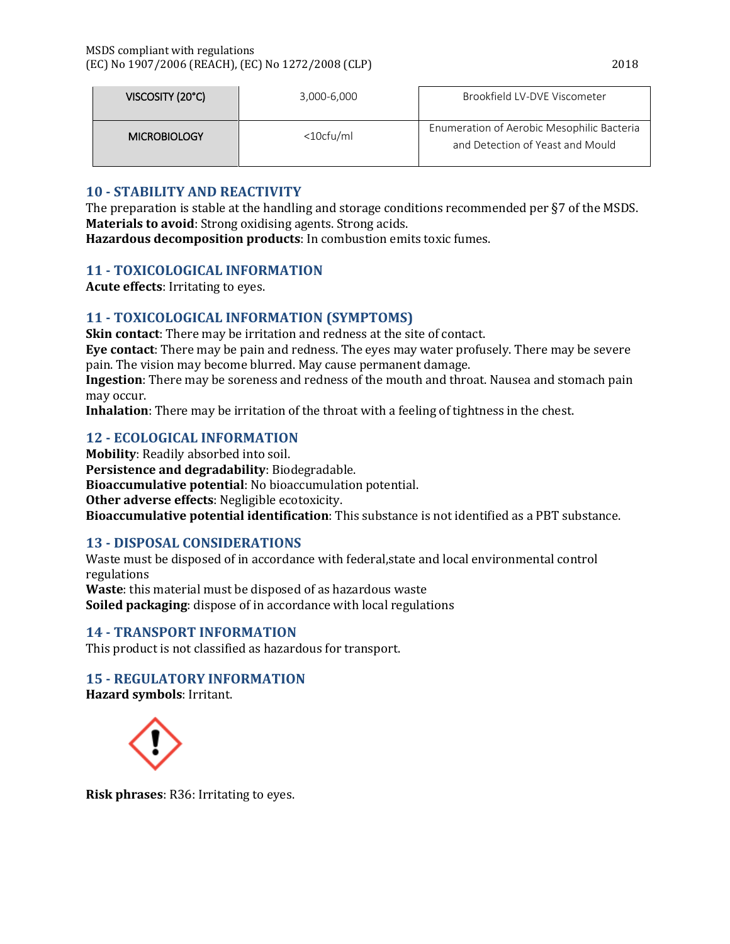| VISCOSITY (20°C)    | 3,000-6,000     | Brookfield LV-DVE Viscometer                                                   |
|---------------------|-----------------|--------------------------------------------------------------------------------|
| <b>MICROBIOLOGY</b> | $<$ 10 $cfu/ml$ | Enumeration of Aerobic Mesophilic Bacteria<br>and Detection of Yeast and Mould |

# **10 - STABILITY AND REACTIVITY**

The preparation is stable at the handling and storage conditions recommended per §7 of the MSDS. **Materials to avoid**: Strong oxidising agents. Strong acids.

**Hazardous decomposition products**: In combustion emits toxic fumes.

# **11 - TOXICOLOGICAL INFORMATION**

**Acute effects**: Irritating to eyes.

# **11 - TOXICOLOGICAL INFORMATION (SYMPTOMS)**

**Skin contact**: There may be irritation and redness at the site of contact.

**Eye contact**: There may be pain and redness. The eyes may water profusely. There may be severe pain. The vision may become blurred. May cause permanent damage.

**Ingestion**: There may be soreness and redness of the mouth and throat. Nausea and stomach pain may occur.

**Inhalation**: There may be irritation of the throat with a feeling of tightness in the chest.

# **12 - ECOLOGICAL INFORMATION**

**Mobility**: Readily absorbed into soil. **Persistence and degradability**: Biodegradable. **Bioaccumulative potential**: No bioaccumulation potential. **Other adverse effects**: Negligible ecotoxicity. **Bioaccumulative potential identification**: This substance is not identified as a PBT substance.

# **13 - DISPOSAL CONSIDERATIONS**

Waste must be disposed of in accordance with federal,state and local environmental control regulations **Waste**: this material must be disposed of as hazardous waste **Soiled packaging**: dispose of in accordance with local regulations

# **14 - TRANSPORT INFORMATION**

This product is not classified as hazardous for transport.

# **15 - REGULATORY INFORMATION**

**Hazard symbols**: Irritant.



**Risk phrases**: R36: Irritating to eyes.